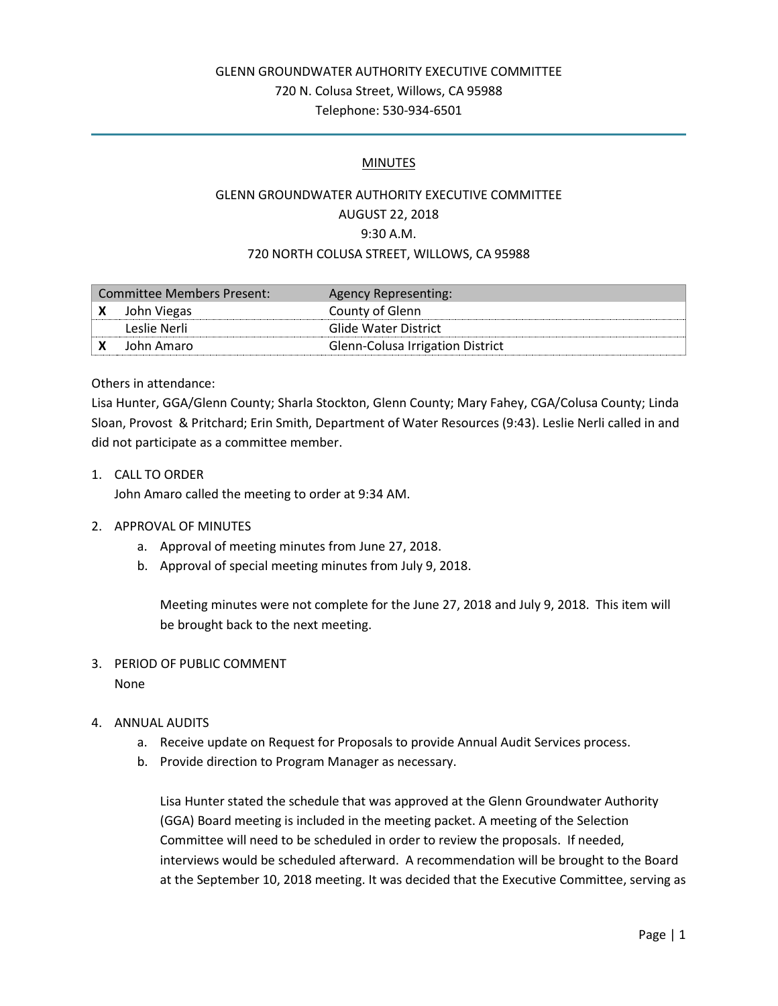# GLENN GROUNDWATER AUTHORITY EXECUTIVE COMMITTEE 720 N. Colusa Street, Willows, CA 95988 Telephone: 530-934-6501

## MINUTES

# GLENN GROUNDWATER AUTHORITY EXECUTIVE COMMITTEE AUGUST 22, 2018 9:30 A.M. 720 NORTH COLUSA STREET, WILLOWS, CA 95988

| Committee Members Present: |              | <b>Agency Representing:</b>      |
|----------------------------|--------------|----------------------------------|
|                            | John Viegas  | County of Glenn                  |
|                            | Leslie Nerli | Glide Water District             |
|                            | John Amaro   | Glenn-Colusa Irrigation District |

Others in attendance:

Lisa Hunter, GGA/Glenn County; Sharla Stockton, Glenn County; Mary Fahey, CGA/Colusa County; Linda Sloan, Provost & Pritchard; Erin Smith, Department of Water Resources (9:43). Leslie Nerli called in and did not participate as a committee member.

1. CALL TO ORDER

John Amaro called the meeting to order at 9:34 AM.

- 2. APPROVAL OF MINUTES
	- a. Approval of meeting minutes from June 27, 2018.
	- b. Approval of special meeting minutes from July 9, 2018.

Meeting minutes were not complete for the June 27, 2018 and July 9, 2018. This item will be brought back to the next meeting.

- 3. PERIOD OF PUBLIC COMMENT None
- 4. ANNUAL AUDITS
	- a. Receive update on Request for Proposals to provide Annual Audit Services process.
	- b. Provide direction to Program Manager as necessary.

Lisa Hunter stated the schedule that was approved at the Glenn Groundwater Authority (GGA) Board meeting is included in the meeting packet. A meeting of the Selection Committee will need to be scheduled in order to review the proposals. If needed, interviews would be scheduled afterward. A recommendation will be brought to the Board at the September 10, 2018 meeting. It was decided that the Executive Committee, serving as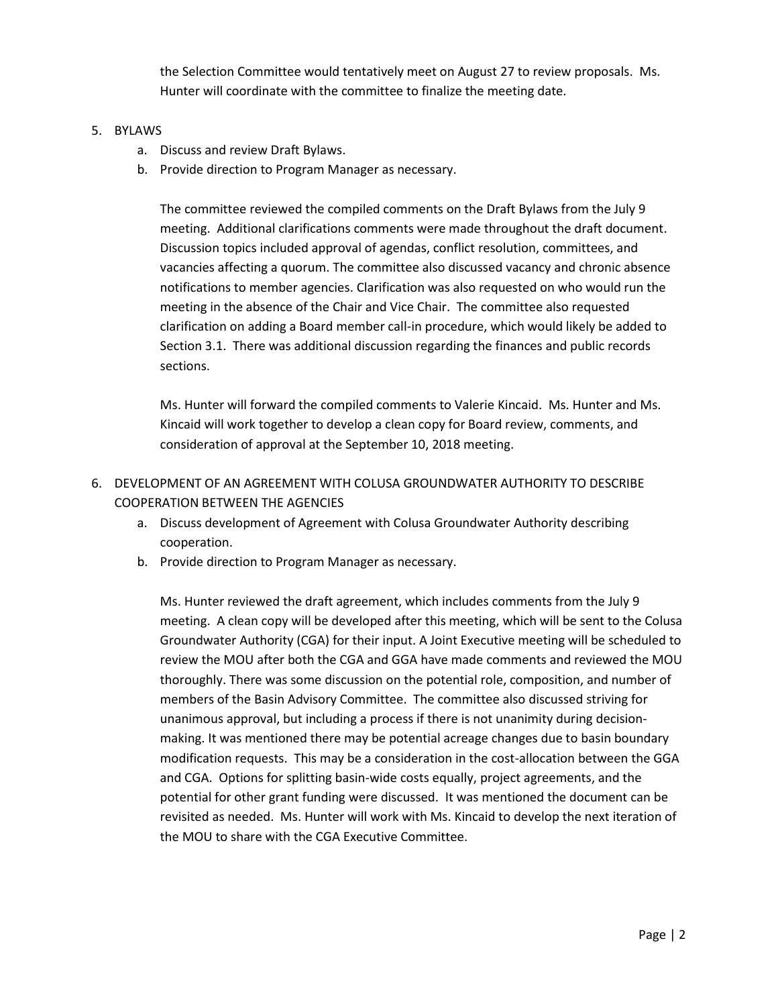the Selection Committee would tentatively meet on August 27 to review proposals. Ms. Hunter will coordinate with the committee to finalize the meeting date.

### 5. BYLAWS

- a. Discuss and review Draft Bylaws.
- b. Provide direction to Program Manager as necessary.

The committee reviewed the compiled comments on the Draft Bylaws from the July 9 meeting. Additional clarifications comments were made throughout the draft document. Discussion topics included approval of agendas, conflict resolution, committees, and vacancies affecting a quorum. The committee also discussed vacancy and chronic absence notifications to member agencies. Clarification was also requested on who would run the meeting in the absence of the Chair and Vice Chair. The committee also requested clarification on adding a Board member call-in procedure, which would likely be added to Section 3.1. There was additional discussion regarding the finances and public records sections.

Ms. Hunter will forward the compiled comments to Valerie Kincaid. Ms. Hunter and Ms. Kincaid will work together to develop a clean copy for Board review, comments, and consideration of approval at the September 10, 2018 meeting.

- 6. DEVELOPMENT OF AN AGREEMENT WITH COLUSA GROUNDWATER AUTHORITY TO DESCRIBE COOPERATION BETWEEN THE AGENCIES
	- a. Discuss development of Agreement with Colusa Groundwater Authority describing cooperation.
	- b. Provide direction to Program Manager as necessary.

Ms. Hunter reviewed the draft agreement, which includes comments from the July 9 meeting. A clean copy will be developed after this meeting, which will be sent to the Colusa Groundwater Authority (CGA) for their input. A Joint Executive meeting will be scheduled to review the MOU after both the CGA and GGA have made comments and reviewed the MOU thoroughly. There was some discussion on the potential role, composition, and number of members of the Basin Advisory Committee. The committee also discussed striving for unanimous approval, but including a process if there is not unanimity during decisionmaking. It was mentioned there may be potential acreage changes due to basin boundary modification requests. This may be a consideration in the cost-allocation between the GGA and CGA. Options for splitting basin-wide costs equally, project agreements, and the potential for other grant funding were discussed. It was mentioned the document can be revisited as needed. Ms. Hunter will work with Ms. Kincaid to develop the next iteration of the MOU to share with the CGA Executive Committee.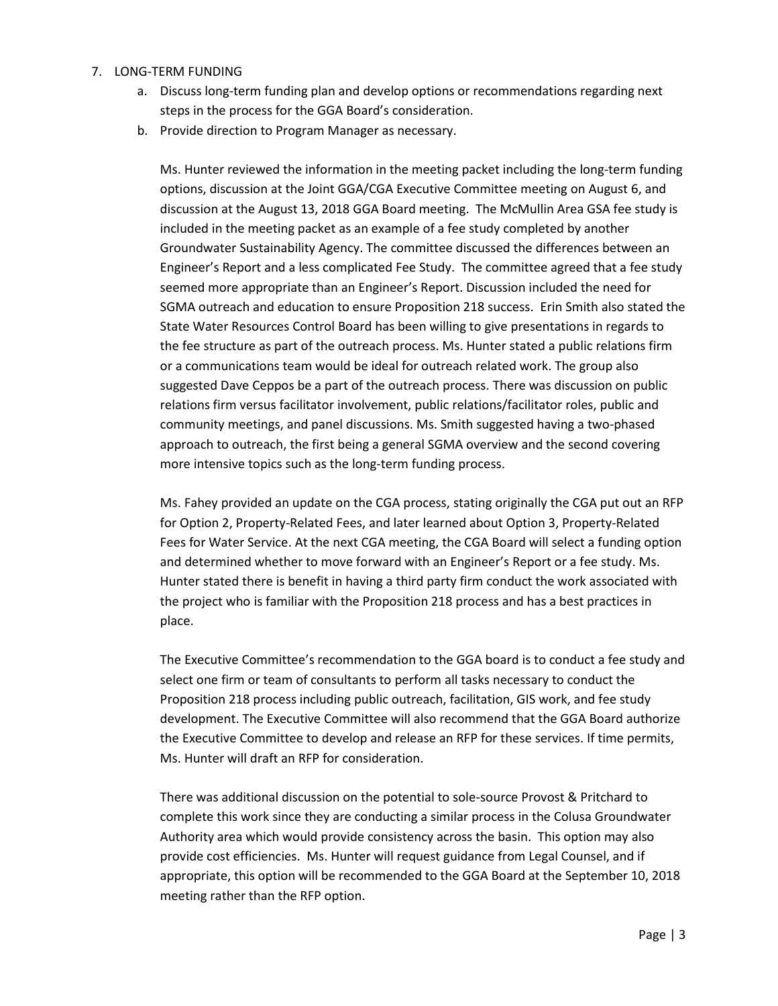#### 7. LONG-TERM FUNDING

- a. Discuss long-term funding plan and develop options or recommendations regarding next steps in the process for the GGA Board's consideration.
- b. Provide direction to Program Manager as necessary.

Ms. Hunter reviewed the information in the meeting packet including the long-term funding options, discussion at the Joint GGA/CGA Executive Committee meeting on August 6, and discussion at the August 13, 2018 GGA Board meeting. The McMullin Area GSA fee study is included in the meeting packet as an example of a fee study completed by another Groundwater Sustainability Agency. The committee discussed the differences between an Engineer's Report and a less complicated Fee Study. The committee agreed that a fee study seemed more appropriate than an Engineer's Report. Discussion included the need for SGMA outreach and education to ensure Proposition 218 success. Erin Smith also stated the State Water Resources Control Board has been willing to give presentations in regards to the fee structure as part of the outreach process. Ms. Hunter stated a public relations firm or a communications team would be ideal for outreach related work. The group also suggested Dave Ceppos be a part of the outreach process. There was discussion on public relations firm versus facilitator involvement, public relations/facilitator roles, public and community meetings, and panel discussions. Ms. Smith suggested having a two-phased approach to outreach, the first being a general SGMA overview and the second covering more intensive topics such as the long-term funding process.

Ms. Fahey provided an update on the CGA process, stating originally the CGA put out an RFP for Option 2, Property-Related Fees, and later learned about Option 3, Property-Related Fees for Water Service. At the next CGA meeting, the CGA Board will select a funding option and determined whether to move forward with an Engineer's Report or a fee study. Ms. Hunter stated there is benefit in having a third party firm conduct the work associated with the project who is familiar with the Proposition 218 process and has a best practices in place.

The Executive Committee's recommendation to the GGA board is to conduct a fee study and select one firm or team of consultants to perform all tasks necessary to conduct the Proposition 218 process including public outreach, facilitation, GIS work, and fee study development. The Executive Committee will also recommend that the GGA Board authorize the Executive Committee to develop and release an RFP for these services. If time permits, Ms. Hunter will draft an RFP for consideration.

There was additional discussion on the potential to sole-source Provost & Pritchard to complete this work since they are conducting a similar process in the Colusa Groundwater Authority area which would provide consistency across the basin. This option may also provide cost efficiencies. Ms. Hunter will request guidance from Legal Counsel, and if appropriate, this option will be recommended to the GGA Board at the September 10, 2018 meeting rather than the RFP option.